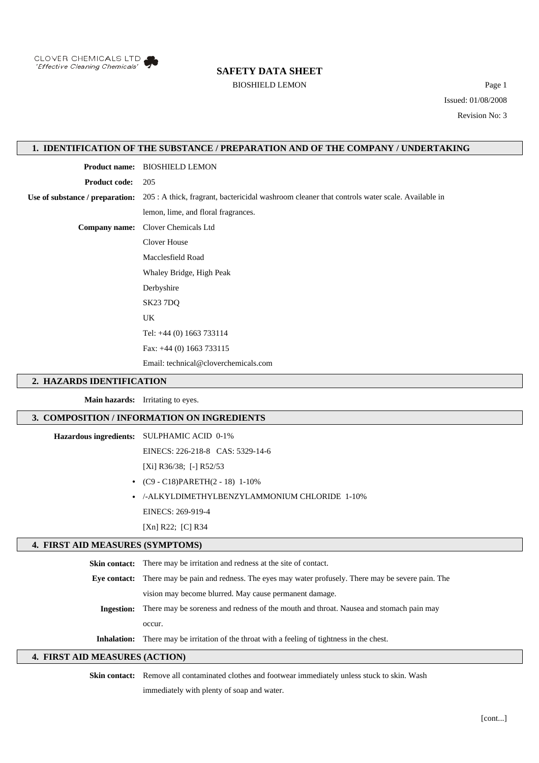

#### BIOSHIELD LEMON Page 1

Issued: 01/08/2008 Revision No: 3

### **1. IDENTIFICATION OF THE SUBSTANCE / PREPARATION AND OF THE COMPANY / UNDERTAKING**

**Product name:** BIOSHIELD LEMON

**Product code:** 205

**Use of substance / preparation:** 205 : A thick, fragrant, bactericidal washroom cleaner that controls water scale. Available in

lemon, lime, and floral fragrances.

**Company name:** Clover Chemicals Ltd

Clover House

Macclesfield Road

Whaley Bridge, High Peak

Derbyshire

SK23 7DQ

UK

Tel: +44 (0) 1663 733114

Fax: +44 (0) 1663 733115

Email: technical@cloverchemicals.com

#### **2. HAZARDS IDENTIFICATION**

**Main hazards:** Irritating to eyes.

#### **3. COMPOSITION / INFORMATION ON INGREDIENTS**

**Hazardous ingredients:** SULPHAMIC ACID 0-1%

EINECS: 226-218-8 CAS: 5329-14-6

[Xi] R36/38; [-] R52/53

- **•** (C9 C18)PARETH(2 18) 1-10%
- **•** /-ALKYLDIMETHYLBENZYLAMMONIUM CHLORIDE 1-10% EINECS: 269-919-4

### [Xn] R22; [C] R34

#### **4. FIRST AID MEASURES (SYMPTOMS)**

**Skin contact:** There may be irritation and redness at the site of contact. **Eye contact:** There may be pain and redness. The eyes may water profusely. There may be severe pain. The vision may become blurred. May cause permanent damage. **Ingestion:** There may be soreness and redness of the mouth and throat. Nausea and stomach pain may occur. **Inhalation:** There may be irritation of the throat with a feeling of tightness in the chest.

#### **4. FIRST AID MEASURES (ACTION)**

**Skin contact:** Remove all contaminated clothes and footwear immediately unless stuck to skin. Wash

immediately with plenty of soap and water.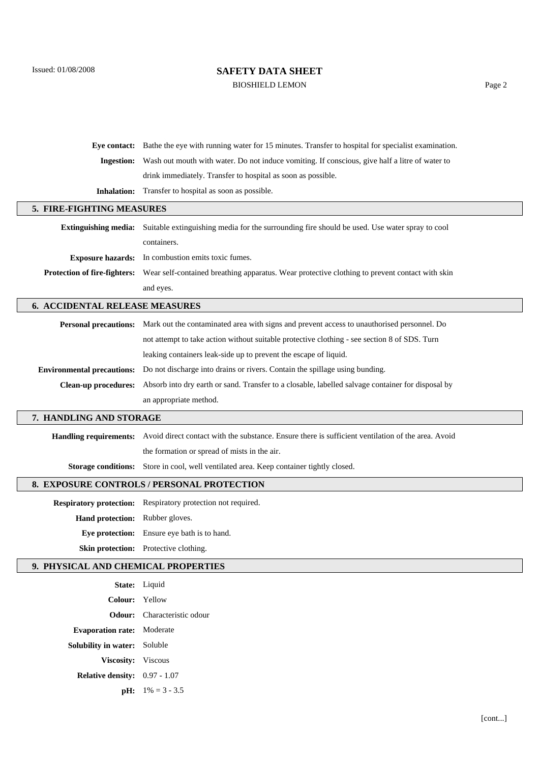BIOSHIELD LEMON Page 2

|                                            | Eye contact: Bathe the eye with running water for 15 minutes. Transfer to hospital for specialist examination.            |  |
|--------------------------------------------|---------------------------------------------------------------------------------------------------------------------------|--|
| <b>Ingestion:</b>                          | Wash out mouth with water. Do not induce vomiting. If conscious, give half a litre of water to                            |  |
|                                            | drink immediately. Transfer to hospital as soon as possible.                                                              |  |
| <b>Inhalation:</b>                         | Transfer to hospital as soon as possible.                                                                                 |  |
| 5. FIRE-FIGHTING MEASURES                  |                                                                                                                           |  |
| <b>Extinguishing media:</b>                | Suitable extinguishing media for the surrounding fire should be used. Use water spray to cool                             |  |
|                                            | containers.                                                                                                               |  |
| <b>Exposure hazards:</b>                   | In combustion emits toxic fumes.                                                                                          |  |
| Protection of fire-fighters:               | Wear self-contained breathing apparatus. Wear protective clothing to prevent contact with skin                            |  |
|                                            | and eyes.                                                                                                                 |  |
| <b>6. ACCIDENTAL RELEASE MEASURES</b>      |                                                                                                                           |  |
|                                            | Personal precautions: Mark out the contaminated area with signs and prevent access to unauthorised personnel. Do          |  |
|                                            | not attempt to take action without suitable protective clothing - see section 8 of SDS. Turn                              |  |
|                                            | leaking containers leak-side up to prevent the escape of liquid.                                                          |  |
| <b>Environmental precautions:</b>          | Do not discharge into drains or rivers. Contain the spillage using bunding.                                               |  |
| <b>Clean-up procedures:</b>                | Absorb into dry earth or sand. Transfer to a closable, labelled salvage container for disposal by                         |  |
|                                            | an appropriate method.                                                                                                    |  |
| 7. HANDLING AND STORAGE                    |                                                                                                                           |  |
|                                            | Handling requirements: Avoid direct contact with the substance. Ensure there is sufficient ventilation of the area. Avoid |  |
|                                            | the formation or spread of mists in the air.                                                                              |  |
| <b>Storage conditions:</b>                 | Store in cool, well ventilated area. Keep container tightly closed.                                                       |  |
| 8. EXPOSURE CONTROLS / PERSONAL PROTECTION |                                                                                                                           |  |
|                                            | <b>Respiratory protection:</b> Respiratory protection not required.                                                       |  |
| Hand protection:                           | Rubber gloves.                                                                                                            |  |
| Eye protection:                            | Ensure eye bath is to hand.                                                                                               |  |
|                                            | Skin protection: Protective clothing.                                                                                     |  |
| 9. PHYSICAL AND CHEMICAL PROPERTIES        |                                                                                                                           |  |

|                                      | State: Liquid                      |
|--------------------------------------|------------------------------------|
| Colour: Yellow                       |                                    |
|                                      | <b>Odour:</b> Characteristic odour |
| <b>Evaporation rate:</b> Moderate    |                                    |
| <b>Solubility in water:</b> Soluble  |                                    |
| <b>Viscosity:</b> Viscous            |                                    |
| <b>Relative density:</b> 0.97 - 1.07 |                                    |
|                                      | <b>pH:</b> $1\% = 3 - 3.5$         |
|                                      |                                    |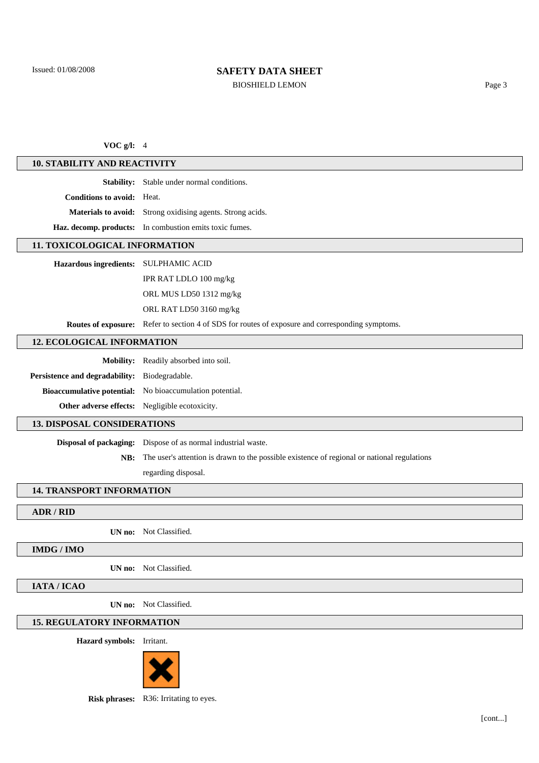### BIOSHIELD LEMON Page 3

### **VOC g/l:** 4

### **10. STABILITY AND REACTIVITY**

**Stability:** Stable under normal conditions.

**Conditions to avoid:** Heat.

**Materials to avoid:** Strong oxidising agents. Strong acids.

**Haz. decomp. products:** In combustion emits toxic fumes.

### **11. TOXICOLOGICAL INFORMATION**

**Hazardous ingredients:** SULPHAMIC ACID

IPR RAT LDLO 100 mg/kg

ORL MUS LD50 1312 mg/kg

ORL RAT LD50 3160 mg/kg

**Routes of exposure:** Refer to section 4 of SDS for routes of exposure and corresponding symptoms.

### **12. ECOLOGICAL INFORMATION**

|                                                       | <b>Mobility:</b> Readily absorbed into soil.                    |
|-------------------------------------------------------|-----------------------------------------------------------------|
| <b>Persistence and degradability:</b> Biodegradable.  |                                                                 |
|                                                       | <b>Bioaccumulative potential:</b> No bioaccumulation potential. |
| <b>Other adverse effects:</b> Negligible ecotoxicity. |                                                                 |

### **13. DISPOSAL CONSIDERATIONS**

**Disposal of packaging:** Dispose of as normal industrial waste.

**NB:** The user's attention is drawn to the possible existence of regional or national regulations

regarding disposal.

#### **14. TRANSPORT INFORMATION**

#### **ADR / RID**

**UN no:** Not Classified.

#### **IMDG / IMO**

**UN no:** Not Classified.

**IATA / ICAO**

**UN no:** Not Classified.

### **15. REGULATORY INFORMATION**

**Hazard symbols:** Irritant.



**Risk phrases:** R36: Irritating to eyes.